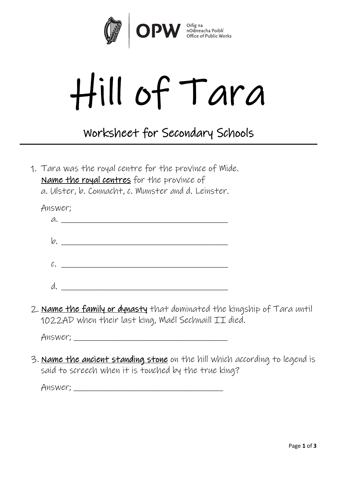

## Hill of Tara

Worksheet for Secondary Schools

1. Tara was the royal centre for the province of Mide. Name the royal centres for the province of a. Ulster, b. Connacht, c. Munster and d. Leinster.

| Answer; |  |  |  |
|---------|--|--|--|
| a.      |  |  |  |
| b.      |  |  |  |
|         |  |  |  |
|         |  |  |  |

2. Name the family or dynasty that dominated the kingship of Tara until 1022AD when their last king, Maél Sechnaill II died.

Answer; \_\_\_\_\_\_\_\_\_\_\_\_\_\_\_\_\_\_\_\_\_\_\_\_\_\_\_\_\_\_\_\_\_\_\_\_

3. Name the ancient standing stone on the hill which according to legend is said to screech when it is touched by the true king?

Answer; \_\_\_\_\_\_\_\_\_\_\_\_\_\_\_\_\_\_\_\_\_\_\_\_\_\_\_\_\_\_\_\_\_\_\_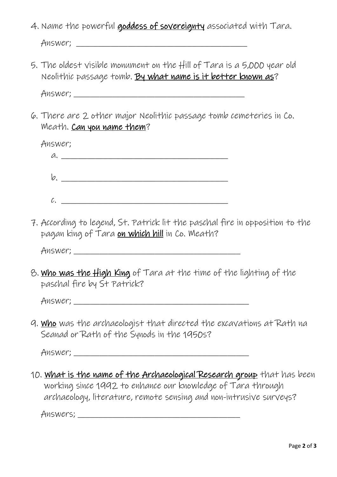4. Name the powerful goddess of sovereignty associated with Tara.

Answer; \_\_\_\_\_\_\_\_\_\_\_\_\_\_\_\_\_\_\_\_\_\_\_\_\_\_\_\_\_\_\_\_\_\_\_\_\_\_\_\_

5. The oldest visible monument on the Hill of Tara is a 5,000 year old Neolithic passage tomb. By what name is it better known as?

Answer;

6. There are 2 other major Neolithic passage tomb cemeteries in Co. Meath. Can you name them?

| Answer; |  |  |  |
|---------|--|--|--|
| a.      |  |  |  |
| D.      |  |  |  |
| C.      |  |  |  |

7. According to legend, St. Patrick lit the paschal fire in opposition to the pagan king of Tara on which hill in Co. Meath?

Answer; \_\_\_\_\_\_\_\_\_\_\_\_\_\_\_\_\_\_\_\_\_\_\_\_\_\_\_\_\_\_\_\_\_\_\_\_\_\_\_

8. Who was the High King of Tara at the time of the lighting of the paschal fire by St Patrick?

Answer;

9. Who was the archaeologist that directed the excavations at Rath na Seanad or Rath of the Synods in the 1950s?

Answer; \_\_\_\_\_\_\_\_\_\_\_\_\_\_\_\_\_\_\_\_\_\_\_\_\_\_\_\_\_\_\_\_\_\_\_\_\_\_\_\_\_

10. What is the name of the Archaeological Research group that has been working since 1992 to enhance our knowledge of Tara through archaeology, literature, remote sensing and non-intrusive surveys?

Answers; \_\_\_\_\_\_\_\_\_\_\_\_\_\_\_\_\_\_\_\_\_\_\_\_\_\_\_\_\_\_\_\_\_\_\_\_\_\_